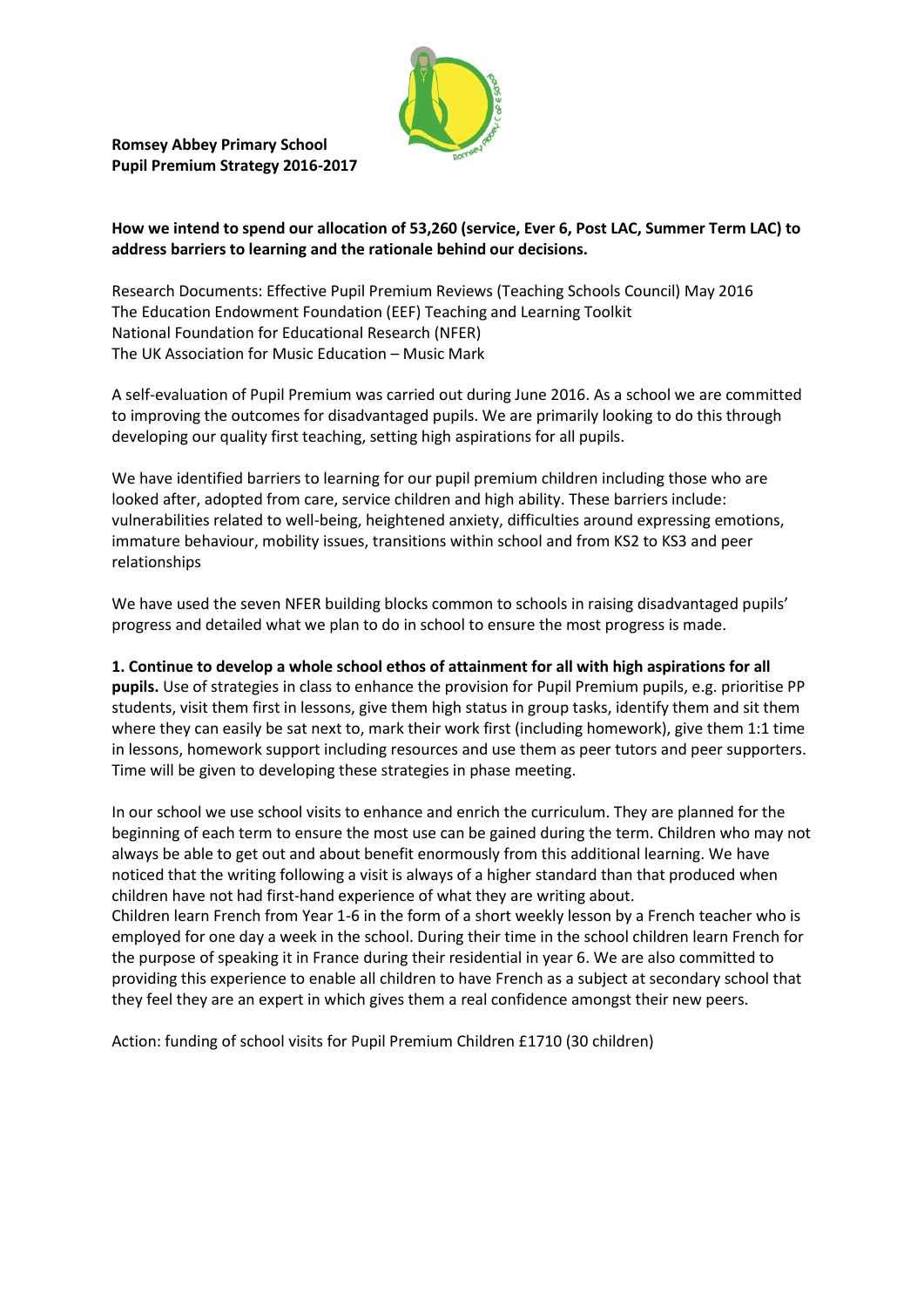

**Romsey Abbey Primary School Pupil Premium Strategy 2016-2017** 

## **How we intend to spend our allocation of 53,260 (service, Ever 6, Post LAC, Summer Term LAC) to address barriers to learning and the rationale behind our decisions.**

Research Documents: Effective Pupil Premium Reviews (Teaching Schools Council) May 2016 The Education Endowment Foundation (EEF) Teaching and Learning Toolkit National Foundation for Educational Research (NFER) The UK Association for Music Education – Music Mark

A self-evaluation of Pupil Premium was carried out during June 2016. As a school we are committed to improving the outcomes for disadvantaged pupils. We are primarily looking to do this through developing our quality first teaching, setting high aspirations for all pupils.

We have identified barriers to learning for our pupil premium children including those who are looked after, adopted from care, service children and high ability. These barriers include: vulnerabilities related to well-being, heightened anxiety, difficulties around expressing emotions, immature behaviour, mobility issues, transitions within school and from KS2 to KS3 and peer relationships

We have used the seven NFER building blocks common to schools in raising disadvantaged pupils' progress and detailed what we plan to do in school to ensure the most progress is made.

**1. Continue to develop a whole school ethos of attainment for all with high aspirations for all pupils.** Use of strategies in class to enhance the provision for Pupil Premium pupils, e.g. prioritise PP students, visit them first in lessons, give them high status in group tasks, identify them and sit them where they can easily be sat next to, mark their work first (including homework), give them 1:1 time in lessons, homework support including resources and use them as peer tutors and peer supporters. Time will be given to developing these strategies in phase meeting.

In our school we use school visits to enhance and enrich the curriculum. They are planned for the beginning of each term to ensure the most use can be gained during the term. Children who may not always be able to get out and about benefit enormously from this additional learning. We have noticed that the writing following a visit is always of a higher standard than that produced when children have not had first-hand experience of what they are writing about. Children learn French from Year 1-6 in the form of a short weekly lesson by a French teacher who is employed for one day a week in the school. During their time in the school children learn French for the purpose of speaking it in France during their residential in year 6. We are also committed to providing this experience to enable all children to have French as a subject at secondary school that they feel they are an expert in which gives them a real confidence amongst their new peers.

Action: funding of school visits for Pupil Premium Children £1710 (30 children)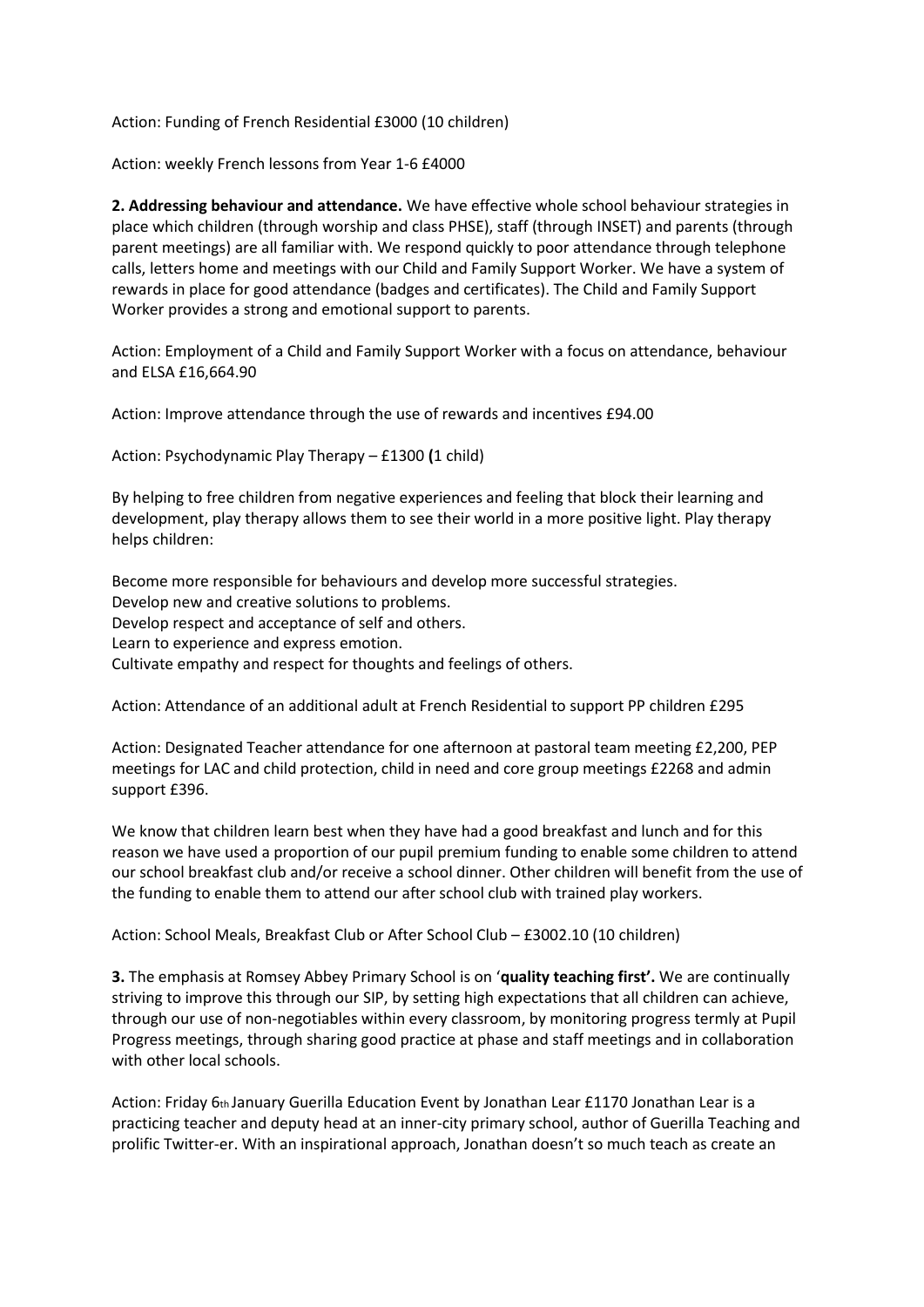Action: Funding of French Residential £3000 (10 children)

Action: weekly French lessons from Year 1-6 £4000

**2. Addressing behaviour and attendance.** We have effective whole school behaviour strategies in place which children (through worship and class PHSE), staff (through INSET) and parents (through parent meetings) are all familiar with. We respond quickly to poor attendance through telephone calls, letters home and meetings with our Child and Family Support Worker. We have a system of rewards in place for good attendance (badges and certificates). The Child and Family Support Worker provides a strong and emotional support to parents.

Action: Employment of a Child and Family Support Worker with a focus on attendance, behaviour and ELSA £16,664.90

Action: Improve attendance through the use of rewards and incentives £94.00

Action: Psychodynamic Play Therapy – £1300 **(**1 child)

By helping to free children from negative experiences and feeling that block their learning and development, play therapy allows them to see their world in a more positive light. Play therapy helps children:

Become more responsible for behaviours and develop more successful strategies. Develop new and creative solutions to problems. Develop respect and acceptance of self and others. Learn to experience and express emotion. Cultivate empathy and respect for thoughts and feelings of others.

Action: Attendance of an additional adult at French Residential to support PP children £295

Action: Designated Teacher attendance for one afternoon at pastoral team meeting £2,200, PEP meetings for LAC and child protection, child in need and core group meetings £2268 and admin support £396.

We know that children learn best when they have had a good breakfast and lunch and for this reason we have used a proportion of our pupil premium funding to enable some children to attend our school breakfast club and/or receive a school dinner. Other children will benefit from the use of the funding to enable them to attend our after school club with trained play workers.

Action: School Meals, Breakfast Club or After School Club – £3002.10 (10 children)

**3.** The emphasis at Romsey Abbey Primary School is on '**quality teaching first'.** We are continually striving to improve this through our SIP, by setting high expectations that all children can achieve, through our use of non-negotiables within every classroom, by monitoring progress termly at Pupil Progress meetings, through sharing good practice at phase and staff meetings and in collaboration with other local schools.

Action: Friday 6th January Guerilla Education Event by Jonathan Lear £1170 Jonathan Lear is a practicing teacher and deputy head at an inner-city primary school, author of Guerilla Teaching and prolific Twitter-er. With an inspirational approach, Jonathan doesn't so much teach as create an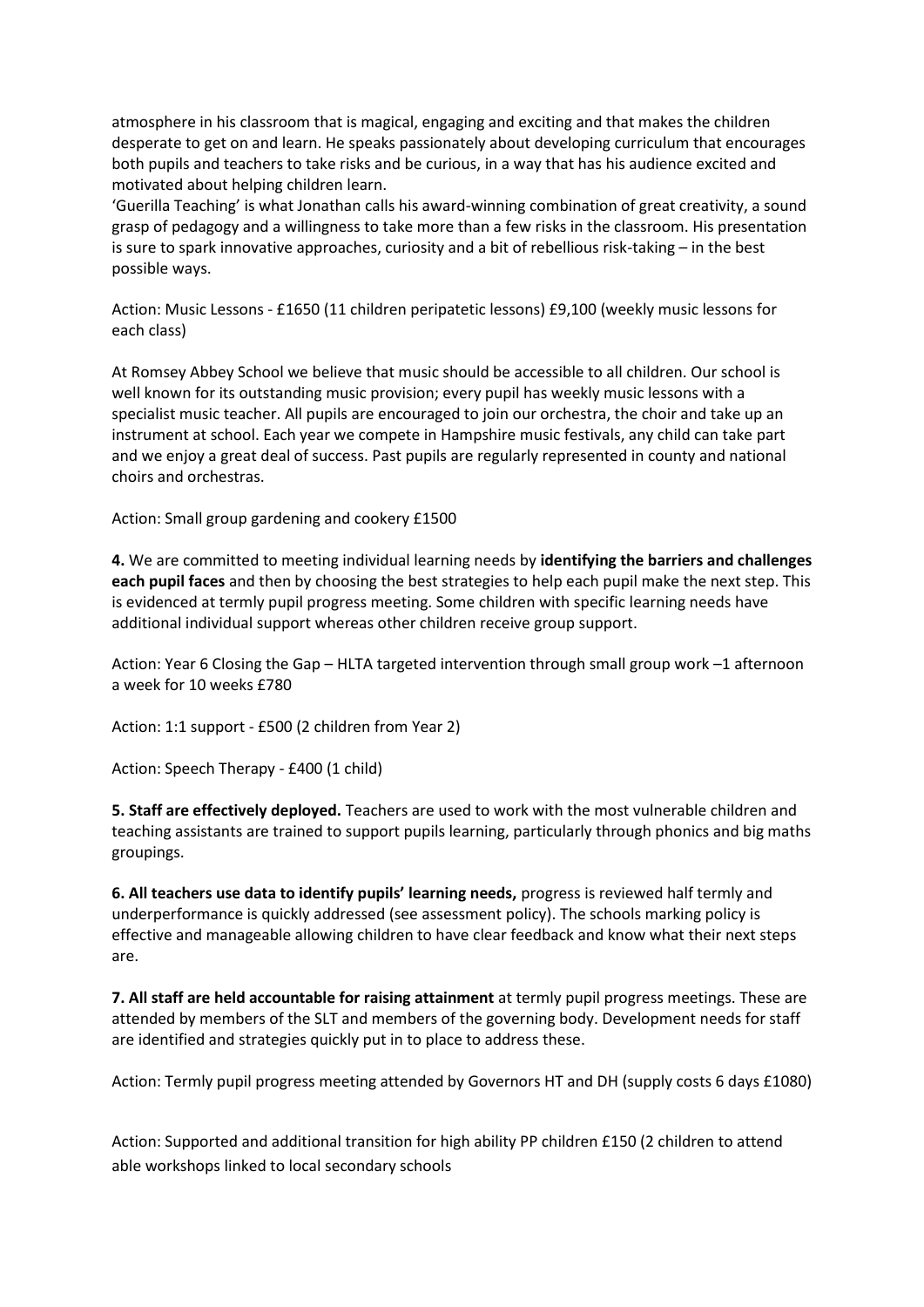atmosphere in his classroom that is magical, engaging and exciting and that makes the children desperate to get on and learn. He speaks passionately about developing curriculum that encourages both pupils and teachers to take risks and be curious, in a way that has his audience excited and motivated about helping children learn.

'Guerilla Teaching' is what Jonathan calls his award-winning combination of great creativity, a sound grasp of pedagogy and a willingness to take more than a few risks in the classroom. His presentation is sure to spark innovative approaches, curiosity and a bit of rebellious risk-taking – in the best possible ways.

Action: Music Lessons - £1650 (11 children peripatetic lessons) £9,100 (weekly music lessons for each class)

At Romsey Abbey School we believe that music should be accessible to all children. Our school is well known for its outstanding music provision; every pupil has weekly music lessons with a specialist music teacher. All pupils are encouraged to join our orchestra, the choir and take up an instrument at school. Each year we compete in Hampshire music festivals, any child can take part and we enjoy a great deal of success. Past pupils are regularly represented in county and national choirs and orchestras.

Action: Small group gardening and cookery £1500

**4.** We are committed to meeting individual learning needs by **identifying the barriers and challenges each pupil faces** and then by choosing the best strategies to help each pupil make the next step. This is evidenced at termly pupil progress meeting. Some children with specific learning needs have additional individual support whereas other children receive group support.

Action: Year 6 Closing the Gap – HLTA targeted intervention through small group work –1 afternoon a week for 10 weeks £780

Action: 1:1 support - £500 (2 children from Year 2)

Action: Speech Therapy - £400 (1 child)

**5. Staff are effectively deployed.** Teachers are used to work with the most vulnerable children and teaching assistants are trained to support pupils learning, particularly through phonics and big maths groupings.

**6. All teachers use data to identify pupils' learning needs,** progress is reviewed half termly and underperformance is quickly addressed (see assessment policy). The schools marking policy is effective and manageable allowing children to have clear feedback and know what their next steps are.

**7. All staff are held accountable for raising attainment** at termly pupil progress meetings. These are attended by members of the SLT and members of the governing body. Development needs for staff are identified and strategies quickly put in to place to address these.

Action: Termly pupil progress meeting attended by Governors HT and DH (supply costs 6 days £1080)

Action: Supported and additional transition for high ability PP children £150 (2 children to attend able workshops linked to local secondary schools